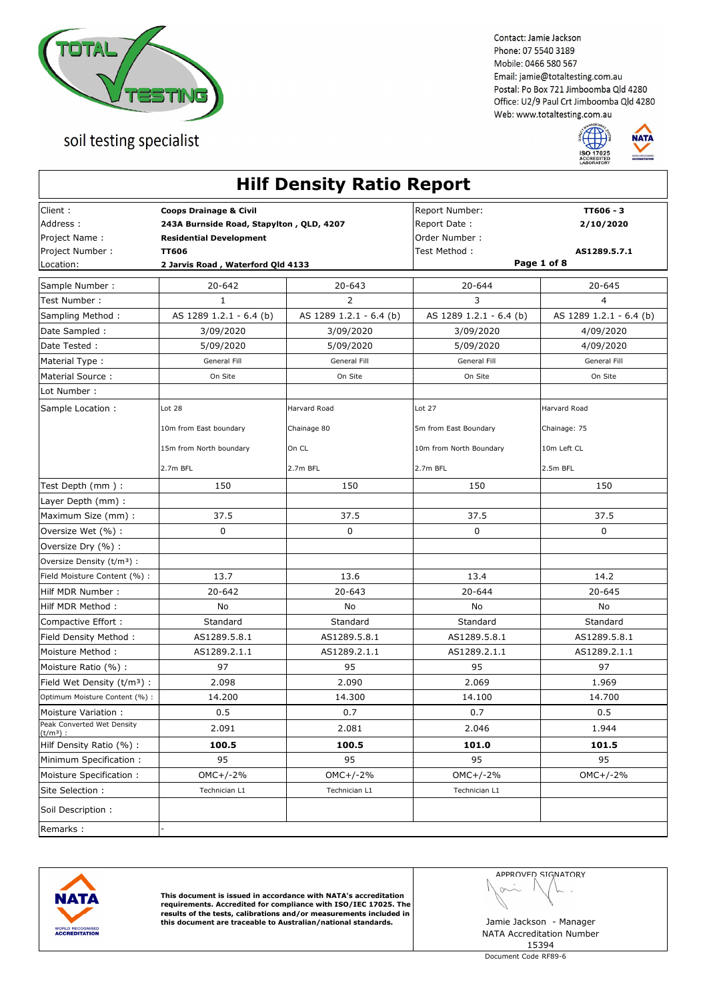



| Client:<br>Report Number:<br>TT606 - 3<br><b>Coops Drainage &amp; Civil</b><br>Address:<br>243A Burnside Road, Stapylton, QLD, 4207<br>Report Date:<br>2/10/2020<br>Project Name:<br>Order Number:<br><b>Residential Development</b><br>Project Number :<br><b>TT606</b><br>Test Method :<br>AS1289.5.7.1<br>Page 1 of 8<br>Location:<br>2 Jarvis Road, Waterford Qld 4133<br>20-642<br>$20 - 643$<br>20-644<br>20-645<br>2<br>3<br>$\overline{4}$<br>$\mathbf{1}$<br>Test Number:<br>AS 1289 1.2.1 - 6.4 (b)<br>AS 1289 1.2.1 - 6.4 (b)<br>AS 1289 1.2.1 - 6.4 (b)<br>AS 1289 1.2.1 - 6.4 (b)<br>Sampling Method:<br>Date Sampled :<br>3/09/2020<br>3/09/2020<br>3/09/2020<br>4/09/2020<br>Date Tested:<br>5/09/2020<br>5/09/2020<br>5/09/2020<br>4/09/2020<br>General Fill<br>General Fill<br>General Fill<br>General Fill<br>On Site<br>On Site<br>On Site<br>On Site<br>Lot Number:<br>Sample Location :<br>Lot 28<br>Harvard Road<br>Harvard Road<br>Lot 27<br>10m from East boundary<br>Chainage 80<br>Chainage: 75<br>5m from East Boundary<br>On CL<br>15m from North boundary<br>10m from North Boundary<br>10m Left CL<br>2.7m BFL<br>2.7m BFL<br>2.7m BFL<br>2.5m BFL<br>Test Depth (mm):<br>150<br>150<br>150<br>150<br>Layer Depth (mm) :<br>Maximum Size (mm) :<br>37.5<br>37.5<br>37.5<br>37.5<br>0<br>0<br>0<br>$\mathbf 0$<br>Oversize Wet (%) :<br>Oversize Dry (%) :<br>Oversize Density (t/m <sup>3</sup> ) :<br>13.7<br>13.6<br>13.4<br>14.2<br>20-642<br>$20 - 643$<br>$20 - 644$<br>20-645<br>Hilf MDR Number:<br>No<br>No<br>No<br>No<br>Compactive Effort :<br>Standard<br>Standard<br>Standard<br>Standard<br>AS1289.5.8.1<br>AS1289.5.8.1<br>AS1289.5.8.1<br>AS1289.5.8.1<br>Field Density Method:<br>Moisture Method:<br>AS1289.2.1.1<br>AS1289.2.1.1<br>AS1289.2.1.1<br>AS1289.2.1.1<br>97<br>95<br>95<br>97<br>2.069<br>Field Wet Density $(t/m3)$ :<br>2.098<br>2.090<br>1.969<br>14.700<br>Optimum Moisture Content (%) :<br>14.200<br>14.300<br>14.100<br>0.5<br>0.7<br>0.7<br>0.5<br>2.091<br>2.081<br>2.046<br>1.944<br>$(t/m^3)$ :<br>100.5<br>100.5<br>101.0<br>101.5<br>95<br>95<br>95<br>95<br>$OMC+/-2%$<br>$OMC+/-2%$<br>$OMC+/-2%$<br>$OMC+/-2%$<br>Site Selection :<br>Technician L1<br>Technician L1<br>Technician L1<br>Soil Description:<br>Remarks: |                              |  | <b>Hilf Density Ratio Report</b> |  |  |
|----------------------------------------------------------------------------------------------------------------------------------------------------------------------------------------------------------------------------------------------------------------------------------------------------------------------------------------------------------------------------------------------------------------------------------------------------------------------------------------------------------------------------------------------------------------------------------------------------------------------------------------------------------------------------------------------------------------------------------------------------------------------------------------------------------------------------------------------------------------------------------------------------------------------------------------------------------------------------------------------------------------------------------------------------------------------------------------------------------------------------------------------------------------------------------------------------------------------------------------------------------------------------------------------------------------------------------------------------------------------------------------------------------------------------------------------------------------------------------------------------------------------------------------------------------------------------------------------------------------------------------------------------------------------------------------------------------------------------------------------------------------------------------------------------------------------------------------------------------------------------------------------------------------------------------------------------------------------------------------------------------------------------------------------------------------------------------------------------------------------------------------------------------------------------------------------------------------------------------------------------------------------------------------------------|------------------------------|--|----------------------------------|--|--|
|                                                                                                                                                                                                                                                                                                                                                                                                                                                                                                                                                                                                                                                                                                                                                                                                                                                                                                                                                                                                                                                                                                                                                                                                                                                                                                                                                                                                                                                                                                                                                                                                                                                                                                                                                                                                                                                                                                                                                                                                                                                                                                                                                                                                                                                                                                    |                              |  |                                  |  |  |
|                                                                                                                                                                                                                                                                                                                                                                                                                                                                                                                                                                                                                                                                                                                                                                                                                                                                                                                                                                                                                                                                                                                                                                                                                                                                                                                                                                                                                                                                                                                                                                                                                                                                                                                                                                                                                                                                                                                                                                                                                                                                                                                                                                                                                                                                                                    |                              |  |                                  |  |  |
|                                                                                                                                                                                                                                                                                                                                                                                                                                                                                                                                                                                                                                                                                                                                                                                                                                                                                                                                                                                                                                                                                                                                                                                                                                                                                                                                                                                                                                                                                                                                                                                                                                                                                                                                                                                                                                                                                                                                                                                                                                                                                                                                                                                                                                                                                                    |                              |  |                                  |  |  |
|                                                                                                                                                                                                                                                                                                                                                                                                                                                                                                                                                                                                                                                                                                                                                                                                                                                                                                                                                                                                                                                                                                                                                                                                                                                                                                                                                                                                                                                                                                                                                                                                                                                                                                                                                                                                                                                                                                                                                                                                                                                                                                                                                                                                                                                                                                    | Sample Number :              |  |                                  |  |  |
|                                                                                                                                                                                                                                                                                                                                                                                                                                                                                                                                                                                                                                                                                                                                                                                                                                                                                                                                                                                                                                                                                                                                                                                                                                                                                                                                                                                                                                                                                                                                                                                                                                                                                                                                                                                                                                                                                                                                                                                                                                                                                                                                                                                                                                                                                                    |                              |  |                                  |  |  |
|                                                                                                                                                                                                                                                                                                                                                                                                                                                                                                                                                                                                                                                                                                                                                                                                                                                                                                                                                                                                                                                                                                                                                                                                                                                                                                                                                                                                                                                                                                                                                                                                                                                                                                                                                                                                                                                                                                                                                                                                                                                                                                                                                                                                                                                                                                    |                              |  |                                  |  |  |
|                                                                                                                                                                                                                                                                                                                                                                                                                                                                                                                                                                                                                                                                                                                                                                                                                                                                                                                                                                                                                                                                                                                                                                                                                                                                                                                                                                                                                                                                                                                                                                                                                                                                                                                                                                                                                                                                                                                                                                                                                                                                                                                                                                                                                                                                                                    |                              |  |                                  |  |  |
|                                                                                                                                                                                                                                                                                                                                                                                                                                                                                                                                                                                                                                                                                                                                                                                                                                                                                                                                                                                                                                                                                                                                                                                                                                                                                                                                                                                                                                                                                                                                                                                                                                                                                                                                                                                                                                                                                                                                                                                                                                                                                                                                                                                                                                                                                                    |                              |  |                                  |  |  |
|                                                                                                                                                                                                                                                                                                                                                                                                                                                                                                                                                                                                                                                                                                                                                                                                                                                                                                                                                                                                                                                                                                                                                                                                                                                                                                                                                                                                                                                                                                                                                                                                                                                                                                                                                                                                                                                                                                                                                                                                                                                                                                                                                                                                                                                                                                    | Material Type:               |  |                                  |  |  |
|                                                                                                                                                                                                                                                                                                                                                                                                                                                                                                                                                                                                                                                                                                                                                                                                                                                                                                                                                                                                                                                                                                                                                                                                                                                                                                                                                                                                                                                                                                                                                                                                                                                                                                                                                                                                                                                                                                                                                                                                                                                                                                                                                                                                                                                                                                    | Material Source:             |  |                                  |  |  |
|                                                                                                                                                                                                                                                                                                                                                                                                                                                                                                                                                                                                                                                                                                                                                                                                                                                                                                                                                                                                                                                                                                                                                                                                                                                                                                                                                                                                                                                                                                                                                                                                                                                                                                                                                                                                                                                                                                                                                                                                                                                                                                                                                                                                                                                                                                    |                              |  |                                  |  |  |
|                                                                                                                                                                                                                                                                                                                                                                                                                                                                                                                                                                                                                                                                                                                                                                                                                                                                                                                                                                                                                                                                                                                                                                                                                                                                                                                                                                                                                                                                                                                                                                                                                                                                                                                                                                                                                                                                                                                                                                                                                                                                                                                                                                                                                                                                                                    |                              |  |                                  |  |  |
|                                                                                                                                                                                                                                                                                                                                                                                                                                                                                                                                                                                                                                                                                                                                                                                                                                                                                                                                                                                                                                                                                                                                                                                                                                                                                                                                                                                                                                                                                                                                                                                                                                                                                                                                                                                                                                                                                                                                                                                                                                                                                                                                                                                                                                                                                                    |                              |  |                                  |  |  |
|                                                                                                                                                                                                                                                                                                                                                                                                                                                                                                                                                                                                                                                                                                                                                                                                                                                                                                                                                                                                                                                                                                                                                                                                                                                                                                                                                                                                                                                                                                                                                                                                                                                                                                                                                                                                                                                                                                                                                                                                                                                                                                                                                                                                                                                                                                    |                              |  |                                  |  |  |
|                                                                                                                                                                                                                                                                                                                                                                                                                                                                                                                                                                                                                                                                                                                                                                                                                                                                                                                                                                                                                                                                                                                                                                                                                                                                                                                                                                                                                                                                                                                                                                                                                                                                                                                                                                                                                                                                                                                                                                                                                                                                                                                                                                                                                                                                                                    |                              |  |                                  |  |  |
|                                                                                                                                                                                                                                                                                                                                                                                                                                                                                                                                                                                                                                                                                                                                                                                                                                                                                                                                                                                                                                                                                                                                                                                                                                                                                                                                                                                                                                                                                                                                                                                                                                                                                                                                                                                                                                                                                                                                                                                                                                                                                                                                                                                                                                                                                                    |                              |  |                                  |  |  |
|                                                                                                                                                                                                                                                                                                                                                                                                                                                                                                                                                                                                                                                                                                                                                                                                                                                                                                                                                                                                                                                                                                                                                                                                                                                                                                                                                                                                                                                                                                                                                                                                                                                                                                                                                                                                                                                                                                                                                                                                                                                                                                                                                                                                                                                                                                    |                              |  |                                  |  |  |
|                                                                                                                                                                                                                                                                                                                                                                                                                                                                                                                                                                                                                                                                                                                                                                                                                                                                                                                                                                                                                                                                                                                                                                                                                                                                                                                                                                                                                                                                                                                                                                                                                                                                                                                                                                                                                                                                                                                                                                                                                                                                                                                                                                                                                                                                                                    |                              |  |                                  |  |  |
|                                                                                                                                                                                                                                                                                                                                                                                                                                                                                                                                                                                                                                                                                                                                                                                                                                                                                                                                                                                                                                                                                                                                                                                                                                                                                                                                                                                                                                                                                                                                                                                                                                                                                                                                                                                                                                                                                                                                                                                                                                                                                                                                                                                                                                                                                                    |                              |  |                                  |  |  |
|                                                                                                                                                                                                                                                                                                                                                                                                                                                                                                                                                                                                                                                                                                                                                                                                                                                                                                                                                                                                                                                                                                                                                                                                                                                                                                                                                                                                                                                                                                                                                                                                                                                                                                                                                                                                                                                                                                                                                                                                                                                                                                                                                                                                                                                                                                    |                              |  |                                  |  |  |
|                                                                                                                                                                                                                                                                                                                                                                                                                                                                                                                                                                                                                                                                                                                                                                                                                                                                                                                                                                                                                                                                                                                                                                                                                                                                                                                                                                                                                                                                                                                                                                                                                                                                                                                                                                                                                                                                                                                                                                                                                                                                                                                                                                                                                                                                                                    |                              |  |                                  |  |  |
|                                                                                                                                                                                                                                                                                                                                                                                                                                                                                                                                                                                                                                                                                                                                                                                                                                                                                                                                                                                                                                                                                                                                                                                                                                                                                                                                                                                                                                                                                                                                                                                                                                                                                                                                                                                                                                                                                                                                                                                                                                                                                                                                                                                                                                                                                                    | Field Moisture Content (%) : |  |                                  |  |  |
|                                                                                                                                                                                                                                                                                                                                                                                                                                                                                                                                                                                                                                                                                                                                                                                                                                                                                                                                                                                                                                                                                                                                                                                                                                                                                                                                                                                                                                                                                                                                                                                                                                                                                                                                                                                                                                                                                                                                                                                                                                                                                                                                                                                                                                                                                                    |                              |  |                                  |  |  |
|                                                                                                                                                                                                                                                                                                                                                                                                                                                                                                                                                                                                                                                                                                                                                                                                                                                                                                                                                                                                                                                                                                                                                                                                                                                                                                                                                                                                                                                                                                                                                                                                                                                                                                                                                                                                                                                                                                                                                                                                                                                                                                                                                                                                                                                                                                    | Hilf MDR Method:             |  |                                  |  |  |
|                                                                                                                                                                                                                                                                                                                                                                                                                                                                                                                                                                                                                                                                                                                                                                                                                                                                                                                                                                                                                                                                                                                                                                                                                                                                                                                                                                                                                                                                                                                                                                                                                                                                                                                                                                                                                                                                                                                                                                                                                                                                                                                                                                                                                                                                                                    |                              |  |                                  |  |  |
|                                                                                                                                                                                                                                                                                                                                                                                                                                                                                                                                                                                                                                                                                                                                                                                                                                                                                                                                                                                                                                                                                                                                                                                                                                                                                                                                                                                                                                                                                                                                                                                                                                                                                                                                                                                                                                                                                                                                                                                                                                                                                                                                                                                                                                                                                                    |                              |  |                                  |  |  |
|                                                                                                                                                                                                                                                                                                                                                                                                                                                                                                                                                                                                                                                                                                                                                                                                                                                                                                                                                                                                                                                                                                                                                                                                                                                                                                                                                                                                                                                                                                                                                                                                                                                                                                                                                                                                                                                                                                                                                                                                                                                                                                                                                                                                                                                                                                    |                              |  |                                  |  |  |
|                                                                                                                                                                                                                                                                                                                                                                                                                                                                                                                                                                                                                                                                                                                                                                                                                                                                                                                                                                                                                                                                                                                                                                                                                                                                                                                                                                                                                                                                                                                                                                                                                                                                                                                                                                                                                                                                                                                                                                                                                                                                                                                                                                                                                                                                                                    | Moisture Ratio (%):          |  |                                  |  |  |
|                                                                                                                                                                                                                                                                                                                                                                                                                                                                                                                                                                                                                                                                                                                                                                                                                                                                                                                                                                                                                                                                                                                                                                                                                                                                                                                                                                                                                                                                                                                                                                                                                                                                                                                                                                                                                                                                                                                                                                                                                                                                                                                                                                                                                                                                                                    |                              |  |                                  |  |  |
|                                                                                                                                                                                                                                                                                                                                                                                                                                                                                                                                                                                                                                                                                                                                                                                                                                                                                                                                                                                                                                                                                                                                                                                                                                                                                                                                                                                                                                                                                                                                                                                                                                                                                                                                                                                                                                                                                                                                                                                                                                                                                                                                                                                                                                                                                                    |                              |  |                                  |  |  |
|                                                                                                                                                                                                                                                                                                                                                                                                                                                                                                                                                                                                                                                                                                                                                                                                                                                                                                                                                                                                                                                                                                                                                                                                                                                                                                                                                                                                                                                                                                                                                                                                                                                                                                                                                                                                                                                                                                                                                                                                                                                                                                                                                                                                                                                                                                    | Moisture Variation:          |  |                                  |  |  |
|                                                                                                                                                                                                                                                                                                                                                                                                                                                                                                                                                                                                                                                                                                                                                                                                                                                                                                                                                                                                                                                                                                                                                                                                                                                                                                                                                                                                                                                                                                                                                                                                                                                                                                                                                                                                                                                                                                                                                                                                                                                                                                                                                                                                                                                                                                    | Peak Converted Wet Density   |  |                                  |  |  |
|                                                                                                                                                                                                                                                                                                                                                                                                                                                                                                                                                                                                                                                                                                                                                                                                                                                                                                                                                                                                                                                                                                                                                                                                                                                                                                                                                                                                                                                                                                                                                                                                                                                                                                                                                                                                                                                                                                                                                                                                                                                                                                                                                                                                                                                                                                    | Hilf Density Ratio (%) :     |  |                                  |  |  |
|                                                                                                                                                                                                                                                                                                                                                                                                                                                                                                                                                                                                                                                                                                                                                                                                                                                                                                                                                                                                                                                                                                                                                                                                                                                                                                                                                                                                                                                                                                                                                                                                                                                                                                                                                                                                                                                                                                                                                                                                                                                                                                                                                                                                                                                                                                    | Minimum Specification:       |  |                                  |  |  |
|                                                                                                                                                                                                                                                                                                                                                                                                                                                                                                                                                                                                                                                                                                                                                                                                                                                                                                                                                                                                                                                                                                                                                                                                                                                                                                                                                                                                                                                                                                                                                                                                                                                                                                                                                                                                                                                                                                                                                                                                                                                                                                                                                                                                                                                                                                    | Moisture Specification:      |  |                                  |  |  |
|                                                                                                                                                                                                                                                                                                                                                                                                                                                                                                                                                                                                                                                                                                                                                                                                                                                                                                                                                                                                                                                                                                                                                                                                                                                                                                                                                                                                                                                                                                                                                                                                                                                                                                                                                                                                                                                                                                                                                                                                                                                                                                                                                                                                                                                                                                    |                              |  |                                  |  |  |
|                                                                                                                                                                                                                                                                                                                                                                                                                                                                                                                                                                                                                                                                                                                                                                                                                                                                                                                                                                                                                                                                                                                                                                                                                                                                                                                                                                                                                                                                                                                                                                                                                                                                                                                                                                                                                                                                                                                                                                                                                                                                                                                                                                                                                                                                                                    |                              |  |                                  |  |  |
|                                                                                                                                                                                                                                                                                                                                                                                                                                                                                                                                                                                                                                                                                                                                                                                                                                                                                                                                                                                                                                                                                                                                                                                                                                                                                                                                                                                                                                                                                                                                                                                                                                                                                                                                                                                                                                                                                                                                                                                                                                                                                                                                                                                                                                                                                                    |                              |  |                                  |  |  |



This document is issued in accordance with NATA's accreditation<br>requirements. Accredited for compliance with ISO/IEC 17025. The<br>results of the tests, calibrations and/or measurements included in<br>this document are traceable

APPROVED SIGNATORY  $\sim$ ł,

NATA Accreditation Number 15394

Document Code RF89-6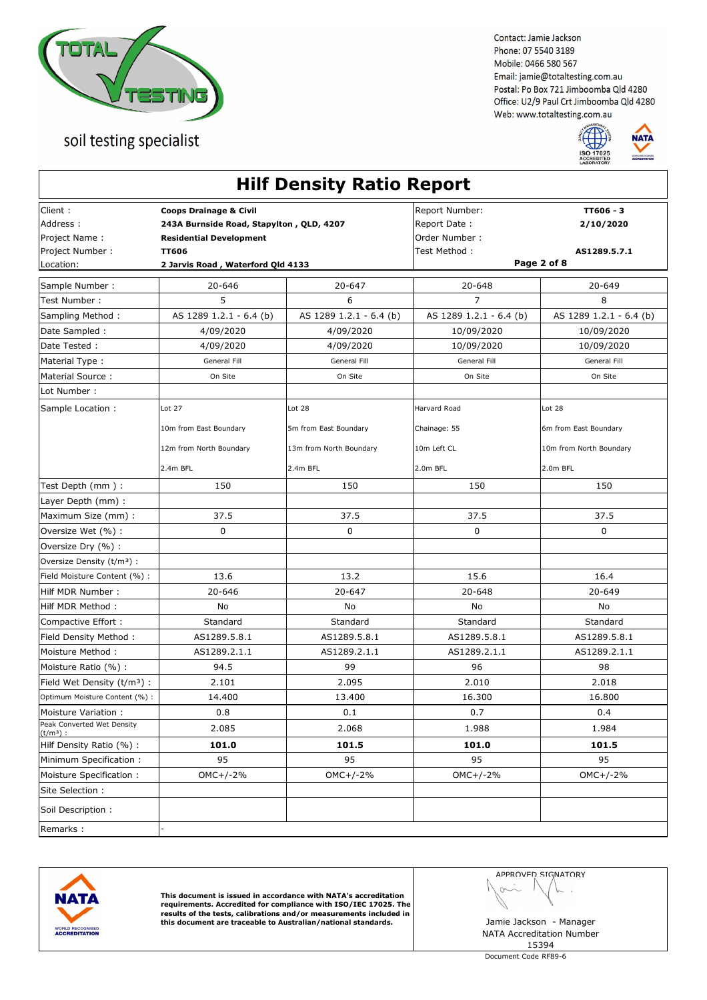



| Client:<br>Address:<br>Project Name:      | <b>Coops Drainage &amp; Civil</b><br>243A Burnside Road, Stapylton, QLD, 4207<br><b>Residential Development</b><br><b>TT606</b> |                         | Report Number:                | TT606 - 3               |
|-------------------------------------------|---------------------------------------------------------------------------------------------------------------------------------|-------------------------|-------------------------------|-------------------------|
|                                           |                                                                                                                                 |                         | Report Date:<br>Order Number: | 2/10/2020               |
| Project Number :                          |                                                                                                                                 |                         | Test Method :                 | AS1289.5.7.1            |
| Location:                                 | 2 Jarvis Road, Waterford Qld 4133                                                                                               |                         | Page 2 of 8                   |                         |
| Sample Number :                           | 20-646                                                                                                                          | 20-647                  | 20-648                        | 20-649                  |
| Test Number:                              | 5                                                                                                                               | 6                       | $\overline{7}$                | 8                       |
| Sampling Method:                          | AS 1289 1.2.1 - 6.4 (b)                                                                                                         | AS 1289 1.2.1 - 6.4 (b) | AS 1289 1.2.1 - 6.4 (b)       | AS 1289 1.2.1 - 6.4 (b) |
| Date Sampled :                            | 4/09/2020                                                                                                                       | 4/09/2020               | 10/09/2020                    | 10/09/2020              |
| Date Tested:                              | 4/09/2020                                                                                                                       | 4/09/2020               | 10/09/2020                    | 10/09/2020              |
| Material Type:                            | General Fill                                                                                                                    | General Fill            | General Fill                  | General Fill            |
| Material Source:                          | On Site                                                                                                                         | On Site                 | On Site                       | On Site                 |
| Lot Number:                               |                                                                                                                                 |                         |                               |                         |
| Sample Location :                         | Lot 27                                                                                                                          | Lot 28                  | Harvard Road                  | Lot 28                  |
|                                           | 10m from East Boundary                                                                                                          | 5m from East Boundary   | Chainage: 55                  | 6m from East Boundary   |
|                                           | 12m from North Boundary                                                                                                         | 13m from North Boundary | 10m Left CL                   | 10m from North Boundary |
|                                           | 2.4m BFL                                                                                                                        | 2.4m BFL                | 2.0m BFL                      | 2.0m BFL                |
| Test Depth (mm):                          | 150                                                                                                                             | 150                     | 150                           | 150                     |
| Layer Depth (mm) :                        |                                                                                                                                 |                         |                               |                         |
| Maximum Size (mm) :                       | 37.5                                                                                                                            | 37.5                    | 37.5                          | 37.5                    |
| Oversize Wet (%) :                        | 0                                                                                                                               | 0                       | 0                             | $\mathbf 0$             |
| Oversize Dry (%) :                        |                                                                                                                                 |                         |                               |                         |
| Oversize Density (t/m <sup>3</sup> ) :    |                                                                                                                                 |                         |                               |                         |
| Field Moisture Content (%) :              | 13.6                                                                                                                            | 13.2                    | 15.6                          | 16.4                    |
| Hilf MDR Number:                          | 20-646                                                                                                                          | 20-647                  | $20 - 648$                    | 20-649                  |
| Hilf MDR Method:                          | No                                                                                                                              | No                      | No                            | No                      |
| Compactive Effort :                       | Standard                                                                                                                        | Standard                | Standard                      | Standard                |
| Field Density Method:                     | AS1289.5.8.1                                                                                                                    | AS1289.5.8.1            | AS1289.5.8.1                  | AS1289.5.8.1            |
| Moisture Method:                          | AS1289.2.1.1                                                                                                                    | AS1289.2.1.1            | AS1289.2.1.1                  | AS1289.2.1.1            |
| Moisture Ratio (%):                       | 94.5                                                                                                                            | 99                      | 96                            | 98                      |
| Field Wet Density $(t/m3)$ :              | 2.101                                                                                                                           | 2.095                   | 2.010                         | 2.018                   |
| Optimum Moisture Content (%) :            | 14.400                                                                                                                          | 13.400                  | 16.300                        | 16.800                  |
| Moisture Variation:                       | 0.8                                                                                                                             | 0.1                     | 0.7                           | 0.4                     |
| Peak Converted Wet Density<br>$(t/m^3)$ : | 2.085                                                                                                                           | 2.068                   | 1.988                         | 1.984                   |
| Hilf Density Ratio (%) :                  | 101.0                                                                                                                           | 101.5                   | 101.0                         | 101.5                   |
| Minimum Specification:                    | 95                                                                                                                              | 95                      | 95                            | 95                      |
| Moisture Specification:                   | $OMC+/-2%$                                                                                                                      | $OMC+/-2%$              | $OMC+/-2%$                    | $OMC+/-2%$              |
| Site Selection:                           |                                                                                                                                 |                         |                               |                         |
| Soil Description:                         |                                                                                                                                 |                         |                               |                         |
| Remarks:                                  |                                                                                                                                 |                         |                               |                         |



This document is issued in accordance with NATA's accreditation<br>requirements. Accredited for compliance with ISO/IEC 17025. The<br>results of the tests, calibrations and/or measurements included in<br>this document are traceable

APPROVED SIGNATORY  $\sim$ ł,

NATA Accreditation Number 15394

Document Code RF89-6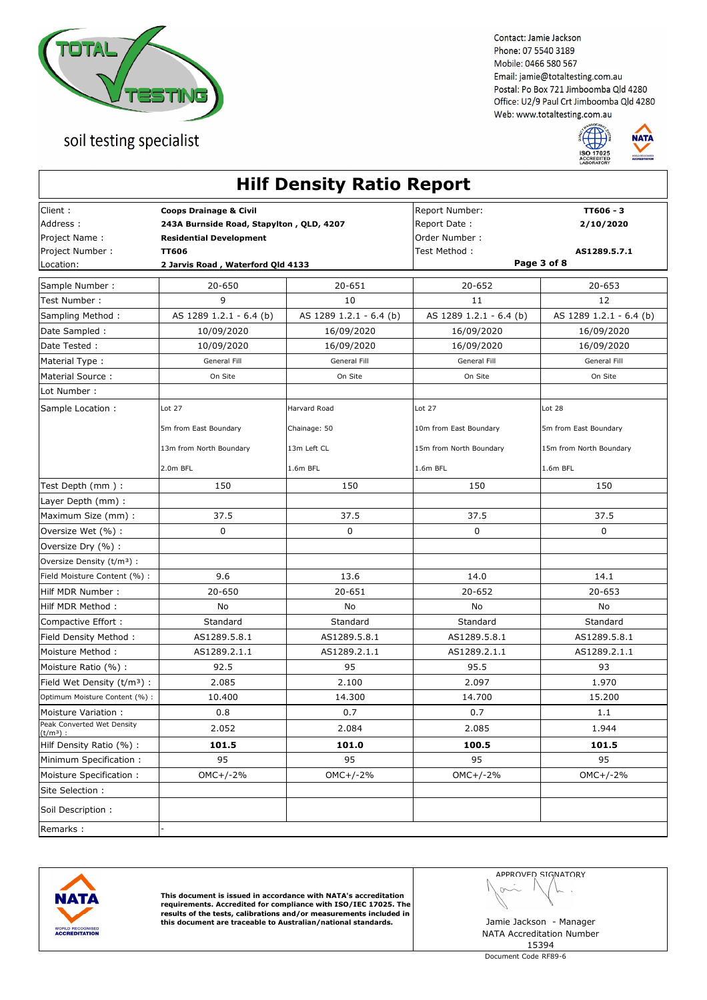



|                                                                       |                                                                                                                                                                      | <b>Hilf Density Ratio Report</b> |                                                                  |                                                       |
|-----------------------------------------------------------------------|----------------------------------------------------------------------------------------------------------------------------------------------------------------------|----------------------------------|------------------------------------------------------------------|-------------------------------------------------------|
| Client :<br>Address:<br>Project Name:<br>Project Number:<br>Location: | <b>Coops Drainage &amp; Civil</b><br>243A Burnside Road, Stapylton, QLD, 4207<br><b>Residential Development</b><br><b>TT606</b><br>2 Jarvis Road, Waterford Qld 4133 |                                  | Report Number:<br>Report Date:<br>Order Number:<br>Test Method : | TT606 - 3<br>2/10/2020<br>AS1289.5.7.1<br>Page 3 of 8 |
| Sample Number:                                                        | 20-650                                                                                                                                                               | 20-651                           | 20-652                                                           | 20-653                                                |
| Test Number :                                                         | 9                                                                                                                                                                    | 10                               | 11                                                               | 12                                                    |
| Sampling Method:                                                      | AS 1289 1.2.1 - 6.4 (b)                                                                                                                                              | AS 1289 1.2.1 - 6.4 (b)          | AS 1289 1.2.1 - 6.4 (b)                                          | AS 1289 1.2.1 - 6.4 (b)                               |
| Date Sampled:                                                         | 10/09/2020                                                                                                                                                           | 16/09/2020                       | 16/09/2020                                                       | 16/09/2020                                            |
| Date Tested:                                                          | 10/09/2020                                                                                                                                                           | 16/09/2020                       | 16/09/2020                                                       | 16/09/2020                                            |
| Material Type:                                                        | General Fill                                                                                                                                                         | General Fill                     | General Fill                                                     | General Fill                                          |
| Material Source:                                                      | On Site                                                                                                                                                              | On Site                          | On Site                                                          | On Site                                               |
| Lot Number :                                                          |                                                                                                                                                                      |                                  |                                                                  |                                                       |
| Sample Location:                                                      | Lot 27<br>5m from East Boundary                                                                                                                                      | Harvard Road<br>Chainage: 50     | Lot 27<br>10m from East Boundary                                 | Lot 28<br>5m from East Boundary                       |
|                                                                       | 13m from North Boundary<br>2.0m BFL                                                                                                                                  | 13m Left CL<br>1.6m BFL          | 15m from North Boundary<br>1.6m BFL                              | 15m from North Boundary<br>1.6m BFL                   |
| Test Depth (mm ) :                                                    | 150                                                                                                                                                                  | 150                              | 150                                                              | 150                                                   |
| Layer Depth (mm):                                                     |                                                                                                                                                                      |                                  |                                                                  |                                                       |
| Maximum Size (mm) :                                                   | 37.5                                                                                                                                                                 | 37.5                             | 37.5                                                             | 37.5                                                  |
| Oversize Wet (%) :                                                    | 0                                                                                                                                                                    | 0                                | 0                                                                | 0                                                     |
| Oversize Dry (%) :                                                    |                                                                                                                                                                      |                                  |                                                                  |                                                       |
| Oversize Density (t/m <sup>3</sup> ) :                                |                                                                                                                                                                      |                                  |                                                                  |                                                       |
| Field Moisture Content (%) :                                          | 9.6                                                                                                                                                                  | 13.6                             | 14.0                                                             | 14.1                                                  |
| Hilf MDR Number:                                                      | 20-650                                                                                                                                                               | 20-651                           | $20 - 652$                                                       | 20-653                                                |
| Hilf MDR Method:                                                      | No                                                                                                                                                                   | No                               | No                                                               | No                                                    |
| Compactive Effort:                                                    | Standard                                                                                                                                                             | Standard                         | Standard                                                         | Standard                                              |
| Field Density Method:                                                 | AS1289.5.8.1                                                                                                                                                         | AS1289.5.8.1                     | AS1289.5.8.1                                                     | AS1289.5.8.1                                          |
| Moisture Method:                                                      | AS1289.2.1.1                                                                                                                                                         | AS1289.2.1.1                     | AS1289.2.1.1                                                     | AS1289.2.1.1                                          |
| Moisture Ratio (%) :                                                  | 92.5                                                                                                                                                                 | 95                               | 95.5                                                             | 93                                                    |
| Field Wet Density (t/m <sup>3</sup> ) :                               | 2.085                                                                                                                                                                | 2.100                            | 2.097                                                            | 1.970                                                 |
| Optimum Moisture Content (%) :                                        | 10.400                                                                                                                                                               | 14.300                           | 14.700                                                           | 15.200                                                |
| Moisture Variation:                                                   | 0.8                                                                                                                                                                  | 0.7                              | 0.7                                                              | 1.1                                                   |
| Peak Converted Wet Density<br>$(t/m^3)$ :                             | 2.052                                                                                                                                                                | 2.084                            | 2.085                                                            | 1.944                                                 |
| Hilf Density Ratio (%) :                                              | 101.5                                                                                                                                                                | 101.0                            | 100.5                                                            | 101.5                                                 |
| Minimum Specification:                                                | 95                                                                                                                                                                   | 95                               | 95                                                               | 95                                                    |
| Moisture Specification:                                               | $OMC+/-2%$                                                                                                                                                           | $OMC+/-2%$                       | $OMC+/-2%$                                                       | $OMC+/-2%$                                            |
| Site Selection :                                                      |                                                                                                                                                                      |                                  |                                                                  |                                                       |
| Soil Description:                                                     |                                                                                                                                                                      |                                  |                                                                  |                                                       |
| Remarks:                                                              |                                                                                                                                                                      |                                  |                                                                  |                                                       |



This document is issued in accordance with NATA's accreditation<br>requirements. Accredited for compliance with ISO/IEC 17025. The<br>results of the tests, calibrations and/or measurements included in<br>this document are traceable

APPROVED SIGNATORY  $\sim$ ł,

NATA Accreditation Number 15394

Document Code RF89-6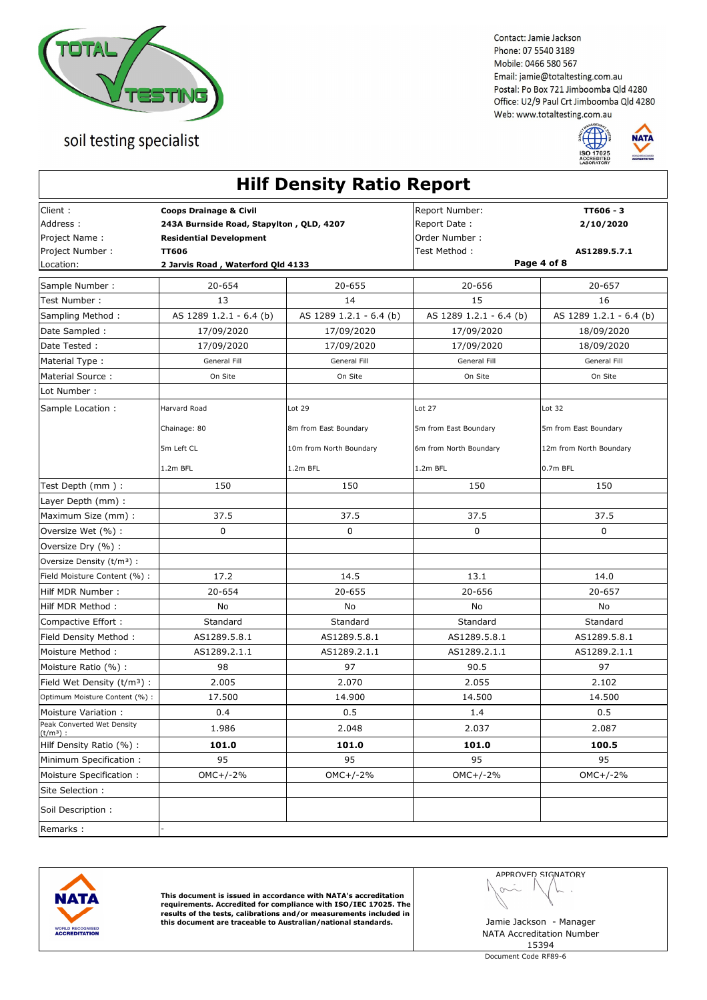



|                                                                        |                                                                                                                                                                      | <b>Hilf Density Ratio Report</b>                           |                                                                  |                                                            |
|------------------------------------------------------------------------|----------------------------------------------------------------------------------------------------------------------------------------------------------------------|------------------------------------------------------------|------------------------------------------------------------------|------------------------------------------------------------|
| Client :<br>Address:<br>Project Name:<br>Project Number :<br>Location: | <b>Coops Drainage &amp; Civil</b><br>243A Burnside Road, Stapylton, QLD, 4207<br><b>Residential Development</b><br><b>TT606</b><br>2 Jarvis Road, Waterford Qld 4133 |                                                            | Report Number:<br>Report Date:<br>Order Number:<br>Test Method : | TT606 - 3<br>2/10/2020<br>AS1289.5.7.1<br>Page 4 of 8      |
| Sample Number:                                                         | 20-654                                                                                                                                                               | 20-655                                                     | 20-656                                                           | 20-657                                                     |
| Test Number :                                                          | 13                                                                                                                                                                   | 14                                                         | 15                                                               | 16                                                         |
| Sampling Method:                                                       | AS 1289 1.2.1 - 6.4 (b)                                                                                                                                              | AS 1289 1.2.1 - 6.4 (b)                                    | AS 1289 1.2.1 - 6.4 (b)                                          | AS 1289 1.2.1 - 6.4 (b)                                    |
| Date Sampled:                                                          | 17/09/2020                                                                                                                                                           | 17/09/2020                                                 | 17/09/2020                                                       | 18/09/2020                                                 |
| Date Tested:                                                           | 17/09/2020                                                                                                                                                           | 17/09/2020                                                 | 17/09/2020                                                       | 18/09/2020                                                 |
| Material Type:                                                         | General Fill                                                                                                                                                         | General Fill                                               | General Fill                                                     | General Fill                                               |
| Material Source:                                                       | On Site                                                                                                                                                              | On Site                                                    | On Site                                                          | On Site                                                    |
| Lot Number :                                                           |                                                                                                                                                                      |                                                            |                                                                  |                                                            |
| Sample Location:                                                       | Harvard Road<br>Chainage: 80<br>5m Left CL<br>$1.2m$ BFL                                                                                                             | Lot 29<br>8m from East Boundary<br>10m from North Boundary | Lot 27<br>5m from East Boundary<br>6m from North Boundary        | Lot 32<br>5m from East Boundary<br>12m from North Boundary |
|                                                                        |                                                                                                                                                                      | 1.2m BFL                                                   | 1.2m BFL                                                         | 0.7m BFL                                                   |
| Test Depth (mm ) :                                                     | 150                                                                                                                                                                  | 150                                                        | 150                                                              | 150                                                        |
| Layer Depth (mm):                                                      |                                                                                                                                                                      |                                                            |                                                                  |                                                            |
| Maximum Size (mm) :                                                    | 37.5                                                                                                                                                                 | 37.5                                                       | 37.5                                                             | 37.5                                                       |
| Oversize Wet (%) :                                                     | 0                                                                                                                                                                    | 0                                                          | $\mathbf 0$                                                      | $\mathbf 0$                                                |
| Oversize Dry (%) :                                                     |                                                                                                                                                                      |                                                            |                                                                  |                                                            |
| Oversize Density (t/m <sup>3</sup> ) :                                 |                                                                                                                                                                      | 14.5                                                       |                                                                  | 14.0                                                       |
| Field Moisture Content (%) :                                           | 17.2<br>20-654                                                                                                                                                       | 20-655                                                     | 13.1<br>20-656                                                   |                                                            |
| Hilf MDR Number:<br>Hilf MDR Method:                                   | No                                                                                                                                                                   | No                                                         | No                                                               | 20-657<br>No                                               |
| Compactive Effort:                                                     | Standard                                                                                                                                                             | Standard                                                   | Standard                                                         | Standard                                                   |
| Field Density Method:                                                  | AS1289.5.8.1                                                                                                                                                         | AS1289.5.8.1                                               | AS1289.5.8.1                                                     | AS1289.5.8.1                                               |
| Moisture Method:                                                       | AS1289.2.1.1                                                                                                                                                         | AS1289.2.1.1                                               | AS1289.2.1.1                                                     | AS1289.2.1.1                                               |
| Moisture Ratio (%) :                                                   | 98                                                                                                                                                                   | 97                                                         | 90.5                                                             | 97                                                         |
| Field Wet Density (t/m <sup>3</sup> ) :                                | 2.005                                                                                                                                                                | 2.070                                                      | 2.055                                                            | 2.102                                                      |
| Optimum Moisture Content (%) :                                         | 17.500                                                                                                                                                               | 14.900                                                     | 14.500                                                           | 14.500                                                     |
| Moisture Variation:                                                    | 0.4                                                                                                                                                                  | 0.5                                                        | 1.4                                                              | 0.5                                                        |
| Peak Converted Wet Density                                             | 1.986                                                                                                                                                                | 2.048                                                      | 2.037                                                            | 2.087                                                      |
| $(t/m^3)$ :<br>Hilf Density Ratio (%) :                                | 101.0                                                                                                                                                                | 101.0                                                      | 101.0                                                            | 100.5                                                      |
| Minimum Specification:                                                 | 95                                                                                                                                                                   | 95                                                         | 95                                                               | 95                                                         |
| Moisture Specification:                                                | $OMC+/-2%$                                                                                                                                                           | $OMC+/-2%$                                                 | $OMC+/-2%$                                                       | $OMC+/-2%$                                                 |
| Site Selection :                                                       |                                                                                                                                                                      |                                                            |                                                                  |                                                            |
| Soil Description:                                                      |                                                                                                                                                                      |                                                            |                                                                  |                                                            |
| Remarks:                                                               |                                                                                                                                                                      |                                                            |                                                                  |                                                            |
|                                                                        |                                                                                                                                                                      |                                                            |                                                                  |                                                            |



This document is issued in accordance with NATA's accreditation<br>requirements. Accredited for compliance with ISO/IEC 17025. The<br>results of the tests, calibrations and/or measurements included in<br>this document are traceable

APPROVED SIGNATORY  $\sim$ ł,

NATA Accreditation Number 15394

Document Code RF89-6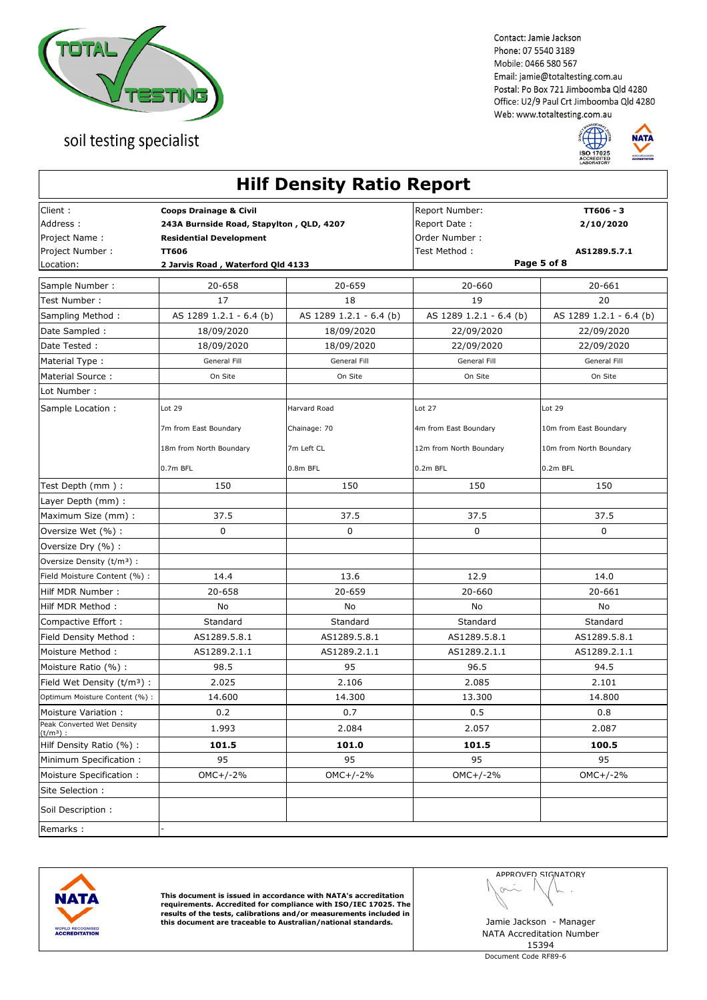

soil testing specialist

Contact: Jamie Jackson Phone: 07 5540 3189 Mobile: 0466 580 567 Email: jamie@totaltesting.com.au Postal: Po Box 721 Jimboomba Qld 4280 Office: U2/9 Paul Crt Jimboomba Qld 4280 Web: www.totaltesting.com.au



|                                           |                                                | <b>Hilf Density Ratio Report</b> |                                              |                         |
|-------------------------------------------|------------------------------------------------|----------------------------------|----------------------------------------------|-------------------------|
| Client:                                   | <b>Coops Drainage &amp; Civil</b>              |                                  | Report Number:                               | TT606 - 3               |
| Address:                                  | 243A Burnside Road, Stapylton, QLD, 4207       |                                  | Report Date:                                 | 2/10/2020               |
| Project Name:                             | <b>Residential Development</b><br><b>TT606</b> |                                  | Order Number:                                |                         |
| Project Number :<br>Location:             | 2 Jarvis Road, Waterford Qld 4133              |                                  | Test Method :<br>AS1289.5.7.1<br>Page 5 of 8 |                         |
|                                           |                                                |                                  |                                              |                         |
| Sample Number :                           | 20-658                                         | 20-659                           | 20-660                                       | 20-661                  |
| Test Number:                              | 17                                             | 18                               | 19                                           | 20                      |
| Sampling Method:                          | AS 1289 1.2.1 - 6.4 (b)                        | AS 1289 1.2.1 - 6.4 (b)          | AS 1289 1.2.1 - 6.4 (b)                      | AS 1289 1.2.1 - 6.4 (b) |
| Date Sampled :                            | 18/09/2020                                     | 18/09/2020                       | 22/09/2020                                   | 22/09/2020              |
| Date Tested:                              | 18/09/2020                                     | 18/09/2020                       | 22/09/2020                                   | 22/09/2020              |
| Material Type:                            | General Fill                                   | General Fill                     | General Fill                                 | General Fill            |
| Material Source:                          | On Site                                        | On Site                          | On Site                                      | On Site                 |
| Lot Number:                               |                                                |                                  |                                              |                         |
| Sample Location :                         | Lot 29                                         | Harvard Road                     | Lot 27                                       | Lot 29                  |
|                                           | 7m from East Boundary                          | Chainage: 70                     | 4m from East Boundary                        | 10m from East Boundary  |
|                                           | 18m from North Boundary                        | 7m Left CL                       | 12m from North Boundary                      | 10m from North Boundary |
|                                           | 0.7m BFL                                       | 0.8m BFL                         | 0.2m BFL                                     | 0.2m BFL                |
| Test Depth (mm):                          | 150                                            | 150                              | 150                                          | 150                     |
| Layer Depth (mm) :                        |                                                |                                  |                                              |                         |
| Maximum Size (mm) :                       | 37.5                                           | 37.5                             | 37.5                                         | 37.5                    |
| Oversize Wet (%) :                        | 0                                              | 0                                | 0                                            | $\mathbf 0$             |
| Oversize Dry (%) :                        |                                                |                                  |                                              |                         |
| Oversize Density (t/m <sup>3</sup> ) :    |                                                |                                  |                                              |                         |
| Field Moisture Content (%) :              | 14.4                                           | 13.6                             | 12.9                                         | 14.0                    |
| Hilf MDR Number:                          | 20-658                                         | 20-659                           | 20-660                                       | 20-661                  |
| Hilf MDR Method:                          | No                                             | No                               | No                                           | No                      |
| Compactive Effort :                       | Standard                                       | Standard                         | Standard                                     | Standard                |
| Field Density Method:                     | AS1289.5.8.1                                   | AS1289.5.8.1                     | AS1289.5.8.1                                 | AS1289.5.8.1            |
| Moisture Method:                          | AS1289.2.1.1                                   | AS1289.2.1.1                     | AS1289.2.1.1                                 | AS1289.2.1.1            |
| Moisture Ratio (%):                       | 98.5                                           | 95                               | 96.5                                         | 94.5                    |
| Field Wet Density $(t/m3)$ :              | 2.025                                          | 2.106                            | 2.085                                        | 2.101                   |
| Optimum Moisture Content (%) :            | 14.600                                         | 14.300                           | 13.300                                       | 14.800                  |
| Moisture Variation:                       | 0.2                                            | 0.7                              | 0.5                                          | 0.8                     |
| Peak Converted Wet Density<br>$(t/m^3)$ : | 1.993                                          | 2.084                            | 2.057                                        | 2.087                   |
| Hilf Density Ratio (%) :                  | 101.5                                          | 101.0                            | 101.5                                        | 100.5                   |
| Minimum Specification:                    | 95                                             | 95                               | 95                                           | 95                      |
| Moisture Specification:                   | $OMC+/-2%$                                     | $OMC+/-2%$                       | $OMC+/-2%$                                   | $OMC+/-2%$              |
| Site Selection :                          |                                                |                                  |                                              |                         |
| Soil Description:                         |                                                |                                  |                                              |                         |
| Remarks:                                  |                                                |                                  |                                              |                         |



This document is issued in accordance with NATA's accreditation<br>requirements. Accredited for compliance with ISO/IEC 17025. The<br>results of the tests, calibrations and/or measurements included in this document are traceable to Australian/national standards. Jamie Jackson - Manager

APPROVED SIGNATORY  $\sim$ i,

 $\sqrt{2}$ 

NATA Accreditation Number 15394

Document Code RF89-6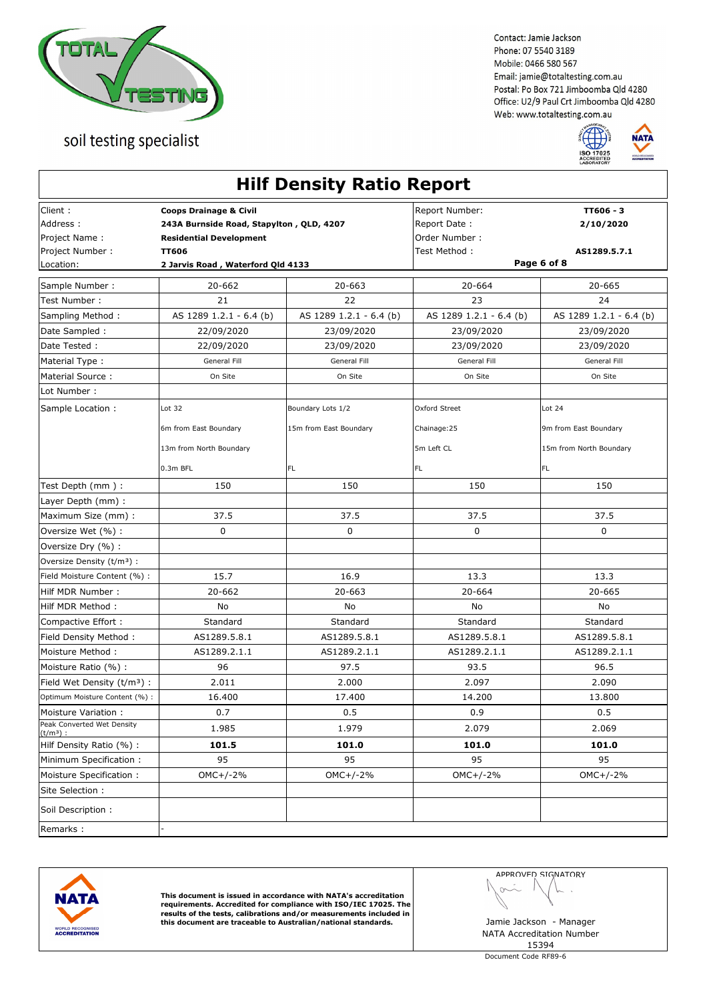



|                                                          |                                                                                                                 | <b>Hilf Density Ratio Report</b>            |                                                                  |                                                            |
|----------------------------------------------------------|-----------------------------------------------------------------------------------------------------------------|---------------------------------------------|------------------------------------------------------------------|------------------------------------------------------------|
| Client:<br>Address:<br>Project Name:<br>Project Number : | <b>Coops Drainage &amp; Civil</b><br>243A Burnside Road, Stapylton, QLD, 4207<br><b>Residential Development</b> |                                             | Report Number:<br>Report Date:<br>Order Number:<br>Test Method : | TT606 - 3<br>2/10/2020<br>AS1289.5.7.1                     |
| Location:                                                | <b>TT606</b><br>2 Jarvis Road, Waterford Qld 4133                                                               |                                             | Page 6 of 8                                                      |                                                            |
|                                                          | 20-662                                                                                                          | $20 - 663$                                  |                                                                  | 20-665                                                     |
| Sample Number :<br>Test Number:                          | 21                                                                                                              | 22                                          | 20-664<br>23                                                     | 24                                                         |
| Sampling Method:                                         | AS 1289 1.2.1 - 6.4 (b)                                                                                         | AS 1289 1.2.1 - 6.4 (b)                     | AS 1289 1.2.1 - 6.4 (b)                                          | AS 1289 1.2.1 - 6.4 (b)                                    |
| Date Sampled :                                           | 22/09/2020                                                                                                      | 23/09/2020                                  | 23/09/2020                                                       | 23/09/2020                                                 |
| Date Tested:                                             | 22/09/2020                                                                                                      | 23/09/2020                                  | 23/09/2020                                                       | 23/09/2020                                                 |
| Material Type:                                           | General Fill                                                                                                    | General Fill                                | General Fill                                                     | General Fill                                               |
| Material Source:                                         | On Site                                                                                                         | On Site                                     | On Site                                                          | On Site                                                    |
| Lot Number:                                              |                                                                                                                 |                                             |                                                                  |                                                            |
| Sample Location :                                        | Lot 32<br>6m from East Boundary<br>13m from North Boundary                                                      | Boundary Lots 1/2<br>15m from East Boundary | Oxford Street<br>Chainage: 25<br>5m Left CL                      | Lot 24<br>9m from East Boundary<br>15m from North Boundary |
|                                                          | 0.3m BFL                                                                                                        | FL                                          | FL.                                                              | FL.                                                        |
| Test Depth (mm):                                         | 150                                                                                                             | 150                                         | 150                                                              | 150                                                        |
| Layer Depth (mm) :                                       |                                                                                                                 |                                             |                                                                  |                                                            |
| Maximum Size (mm) :                                      | 37.5                                                                                                            | 37.5                                        | 37.5                                                             | 37.5                                                       |
| Oversize Wet (%) :                                       | 0                                                                                                               | 0                                           | 0                                                                | $\mathbf 0$                                                |
| Oversize Dry (%) :                                       |                                                                                                                 |                                             |                                                                  |                                                            |
| Oversize Density (t/m <sup>3</sup> ) :                   |                                                                                                                 |                                             |                                                                  |                                                            |
| Field Moisture Content (%) :                             | 15.7                                                                                                            | 16.9                                        | 13.3                                                             | 13.3                                                       |
| Hilf MDR Number:                                         | 20-662                                                                                                          | $20 - 663$                                  | 20-664                                                           | 20-665                                                     |
| Hilf MDR Method:                                         | No                                                                                                              | No                                          | No                                                               | No                                                         |
| Compactive Effort :                                      | Standard                                                                                                        | Standard                                    | Standard                                                         | Standard                                                   |
| Field Density Method:                                    | AS1289.5.8.1                                                                                                    | AS1289.5.8.1                                | AS1289.5.8.1                                                     | AS1289.5.8.1                                               |
| Moisture Method:                                         | AS1289.2.1.1                                                                                                    | AS1289.2.1.1                                | AS1289.2.1.1                                                     | AS1289.2.1.1                                               |
| Moisture Ratio (%):                                      | 96                                                                                                              | 97.5                                        | 93.5                                                             | 96.5                                                       |
| Field Wet Density $(t/m3)$ :                             | 2.011                                                                                                           | 2.000                                       | 2.097                                                            | 2.090                                                      |
| Optimum Moisture Content (%) :                           | 16.400                                                                                                          | 17.400                                      | 14.200                                                           | 13.800                                                     |
| Moisture Variation:                                      | 0.7                                                                                                             | 0.5                                         | 0.9                                                              | 0.5                                                        |
| Peak Converted Wet Density                               | 1.985                                                                                                           | 1.979                                       | 2.079                                                            | 2.069                                                      |
| $(t/m^3)$ :<br>Hilf Density Ratio (%) :                  | 101.5                                                                                                           | 101.0                                       | 101.0                                                            | 101.0                                                      |
| Minimum Specification:                                   | 95                                                                                                              | 95                                          | 95                                                               | 95                                                         |
| Moisture Specification:                                  | $OMC+/-2%$                                                                                                      | $OMC+/-2%$                                  | $OMC+/-2%$                                                       | $OMC+/-2%$                                                 |
| Site Selection:                                          |                                                                                                                 |                                             |                                                                  |                                                            |
| Soil Description:                                        |                                                                                                                 |                                             |                                                                  |                                                            |
| Remarks:                                                 |                                                                                                                 |                                             |                                                                  |                                                            |
|                                                          |                                                                                                                 |                                             |                                                                  |                                                            |



This document is issued in accordance with NATA's accreditation<br>requirements. Accredited for compliance with ISO/IEC 17025. The<br>results of the tests, calibrations and/or measurements included in<br>this document are traceable

APPROVED SIGNATORY  $\sim$ ł,

NATA Accreditation Number 15394

Document Code RF89-6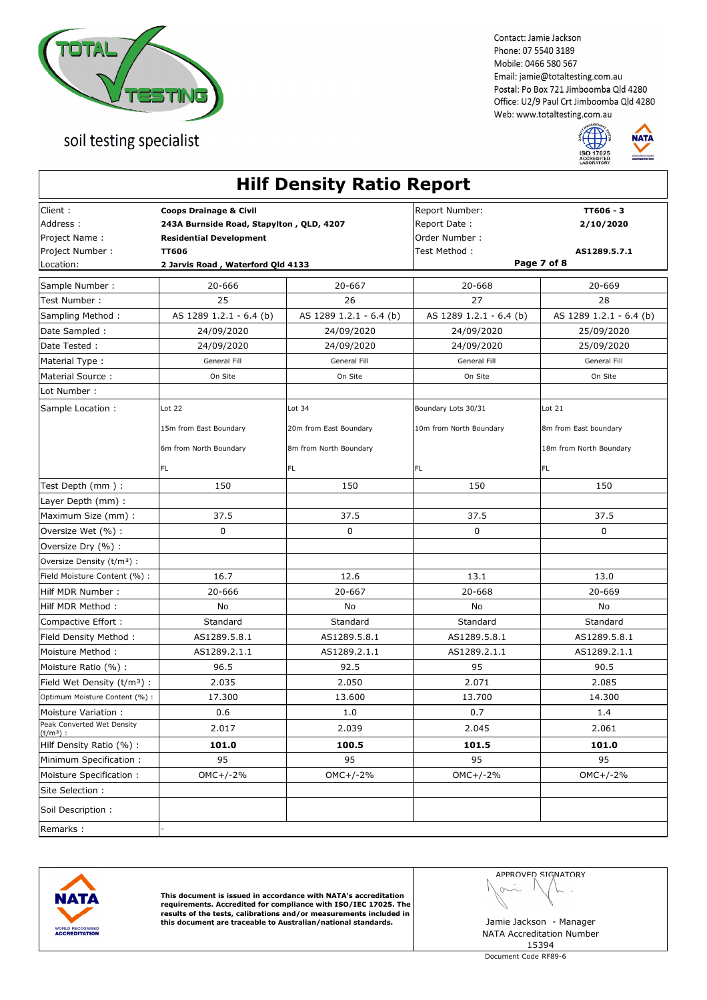



|                                                          |                                                                                                                                 | <b>Hilf Density Ratio Report</b>                 |                                                                  |                                                  |
|----------------------------------------------------------|---------------------------------------------------------------------------------------------------------------------------------|--------------------------------------------------|------------------------------------------------------------------|--------------------------------------------------|
| Client:<br>Address:<br>Project Name:<br>Project Number : | <b>Coops Drainage &amp; Civil</b><br>243A Burnside Road, Stapylton, QLD, 4207<br><b>Residential Development</b><br><b>TT606</b> |                                                  | Report Number:<br>Report Date:<br>Order Number:<br>Test Method : | TT606 - 3<br>2/10/2020<br>AS1289.5.7.1           |
| Location:                                                | 2 Jarvis Road, Waterford Qld 4133                                                                                               |                                                  | Page 7 of 8                                                      |                                                  |
| Sample Number :                                          | 20-666                                                                                                                          | 20-667                                           | 20-668                                                           | 20-669                                           |
| Test Number:                                             | 25                                                                                                                              | 26                                               | 27                                                               | 28                                               |
| Sampling Method:                                         | AS 1289 1.2.1 - 6.4 (b)                                                                                                         | AS 1289 1.2.1 - 6.4 (b)                          | AS 1289 1.2.1 - 6.4 (b)                                          | AS 1289 1.2.1 - 6.4 (b)                          |
| Date Sampled :                                           | 24/09/2020                                                                                                                      | 24/09/2020                                       | 24/09/2020                                                       | 25/09/2020                                       |
| Date Tested:                                             | 24/09/2020                                                                                                                      | 24/09/2020                                       | 24/09/2020                                                       | 25/09/2020                                       |
| Material Type:                                           | General Fill                                                                                                                    | General Fill                                     | General Fill                                                     | General Fill                                     |
| Material Source:                                         | On Site                                                                                                                         | On Site                                          | On Site                                                          | On Site                                          |
| Lot Number:                                              |                                                                                                                                 |                                                  |                                                                  |                                                  |
| Sample Location :                                        | Lot $22$                                                                                                                        | Lot 34                                           | Boundary Lots 30/31                                              | Lot $21$                                         |
|                                                          | 15m from East Boundary<br>6m from North Boundary                                                                                | 20m from East Boundary<br>8m from North Boundary | 10m from North Boundary                                          | 8m from East boundary<br>18m from North Boundary |
|                                                          | <b>FL</b>                                                                                                                       | FL                                               | FL.                                                              | FL.                                              |
| Test Depth (mm):                                         | 150                                                                                                                             | 150                                              | 150                                                              | 150                                              |
| Layer Depth (mm) :                                       |                                                                                                                                 |                                                  |                                                                  |                                                  |
| Maximum Size (mm) :                                      | 37.5                                                                                                                            | 37.5                                             | 37.5                                                             | 37.5                                             |
| Oversize Wet (%) :                                       | 0                                                                                                                               | 0                                                | $\mathbf 0$                                                      | $\mathbf 0$                                      |
| Oversize Dry (%) :                                       |                                                                                                                                 |                                                  |                                                                  |                                                  |
| Oversize Density (t/m <sup>3</sup> ) :                   |                                                                                                                                 |                                                  |                                                                  |                                                  |
| Field Moisture Content (%) :                             | 16.7                                                                                                                            | 12.6                                             | 13.1                                                             | 13.0                                             |
| Hilf MDR Number:                                         | 20-666                                                                                                                          | 20-667                                           | 20-668                                                           | 20-669                                           |
| Hilf MDR Method:                                         | No                                                                                                                              | No                                               | No                                                               | No                                               |
| Compactive Effort :                                      | Standard                                                                                                                        | Standard                                         | Standard                                                         | Standard                                         |
| Field Density Method:                                    | AS1289.5.8.1                                                                                                                    | AS1289.5.8.1                                     | AS1289.5.8.1                                                     | AS1289.5.8.1                                     |
| Moisture Method:                                         | AS1289.2.1.1                                                                                                                    | AS1289.2.1.1                                     | AS1289.2.1.1                                                     | AS1289.2.1.1                                     |
| Moisture Ratio (%):                                      | 96.5                                                                                                                            | 92.5                                             | 95                                                               | 90.5                                             |
| Field Wet Density $(t/m3)$ :                             | 2.035                                                                                                                           | 2.050                                            | 2.071                                                            | 2.085                                            |
| Optimum Moisture Content (%) :                           | 17.300                                                                                                                          | 13.600                                           | 13.700                                                           | 14.300                                           |
| Moisture Variation:                                      | 0.6                                                                                                                             | 1.0                                              | 0.7                                                              | 1.4                                              |
| Peak Converted Wet Density<br>$(t/m^3)$ :                | 2.017                                                                                                                           | 2.039                                            | 2.045                                                            | 2.061                                            |
| Hilf Density Ratio (%) :                                 | 101.0                                                                                                                           | 100.5                                            | 101.5                                                            | 101.0                                            |
| Minimum Specification:                                   | 95                                                                                                                              | 95                                               | 95                                                               | 95                                               |
| Moisture Specification:                                  | $OMC+/-2%$                                                                                                                      | OMC+/-2%                                         | $OMC+/-2%$                                                       | $OMC+/-2%$                                       |
| Site Selection :                                         |                                                                                                                                 |                                                  |                                                                  |                                                  |
| Soil Description:                                        |                                                                                                                                 |                                                  |                                                                  |                                                  |
| Remarks:                                                 |                                                                                                                                 |                                                  |                                                                  |                                                  |



This document is issued in accordance with NATA's accreditation<br>requirements. Accredited for compliance with ISO/IEC 17025. The<br>results of the tests, calibrations and/or measurements included in<br>this document are traceable

APPROVED SIGNATORY  $\sim$ ł,

 $\sqrt{2}$ 

NATA Accreditation Number 15394

Document Code RF89-6